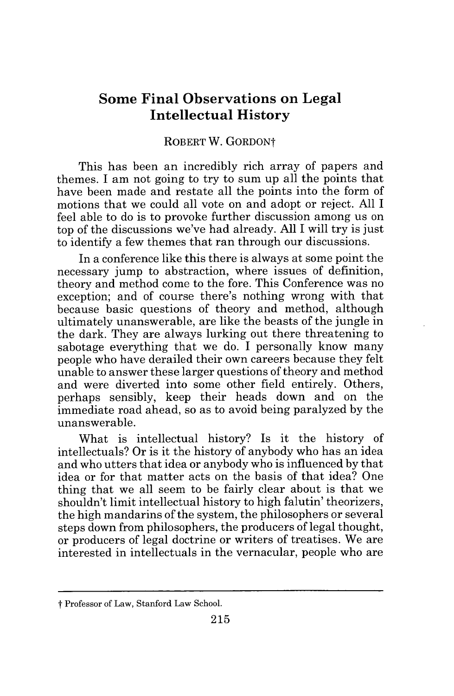### **Some Final Observations on Legal Intellectual History**

#### ROBERT W. **GORDONf**

This has been an incredibly rich array of papers and themes. **I** am not going to try to sum up all the points that have been made and restate all the points into the form of motions that we could all vote on and adopt or reject. **All I** feel able to do is to provoke further discussion among us on top of the discussions we've had already. **All** I will try is just to identify a few themes that ran through our discussions.

In a conference like this there is always at some point the necessary jump to abstraction, where issues of definition, theory and method come to the fore. This Conference was no exception; and of course there's nothing wrong with that because basic questions of theory and method, although ultimately unanswerable, are like the beasts of the jungle in the dark. They are always lurking out there threatening to sabotage everything that we do. **I** personally know many people who have derailed their own careers because they felt unable to answer these larger questions of theory and method and were diverted into some other field entirely. Others, perhaps sensibly, keep their heads down and on the immediate road ahead, so as to avoid being paralyzed **by** the unanswerable.

What is intellectual history? Is it the history of intellectuals? Or is it the history of anybody who has an idea and who utters that idea or anybody who is influenced **by** that idea or for that matter acts on the basis of that idea? One thing that we all seem to be fairly clear about is that we shouldn't limit intellectual history to **high** falutin' theorizers, the **high** mandarins of the system, the philosophers or several steps down from philosophers, the producers of legal thought, or producers of legal doctrine or writers of treatises. We are interested in intellectuals in the vernacular, people who are

t Professor of Law, Stanford Law School.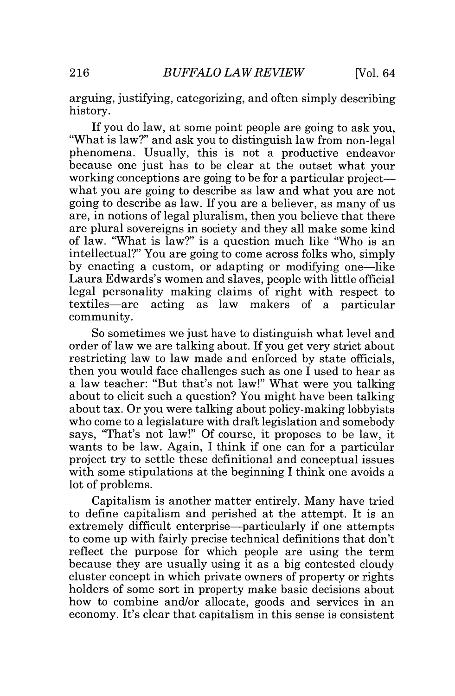arguing, justifying, categorizing, and often simply describing history.

**If** you do law, at some point people are going to ask you, "What is law?" and ask you to distinguish law from non-legal phenomena. Usually, this is not a productive endeavor because one just has to be clear at the outset what your working conceptions are going to be for a particular project what you are going to describe as law and what you are not going to describe as law. **If** you are a believer, as many of us are, in notions of legal pluralism, then you believe that there are plural sovereigns in society and they all make some kind of law. "What is law?" is a question much like "Who is an intellectual?" You are going to come across folks who, simply **by** enacting a custom, or adapting or modifying one-like Laura Edwards's women and slaves, people with little official legal personality making claims of right with respect to acting as law makers of a particular community.

So sometimes we just have to distinguish what level and order of law we are talking about. **If** you get very strict about restricting law to law made and enforced **by** state officials, then you would face challenges such as one **I** used to hear as a law teacher: "But that's not law!" What were you talking about to elicit such a question? You might have been talking about tax. Or you were talking about policy-making lobbyists who come to a legislature with draft legislation and somebody says, "That's not law!" **Of** course, it proposes to be law, it wants to be law. Again, **I** think if one can for a particular project try to settle these definitional and conceptual issues with some stipulations at the beginning **I** think one avoids a lot of problems.

Capitalism is another matter entirely. Many have tried to define capitalism and perished at the attempt. It is an extremely difficult enterprise—particularly if one attempts to come up with fairly precise technical definitions that don't reflect the purpose for which people are using the term because they are usually using it as a **big** contested cloudy cluster concept in which private owners of property or rights holders of some sort in property make basic decisions about how to combine and/or allocate, goods and services in an economy. It's clear that capitalism in this sense is consistent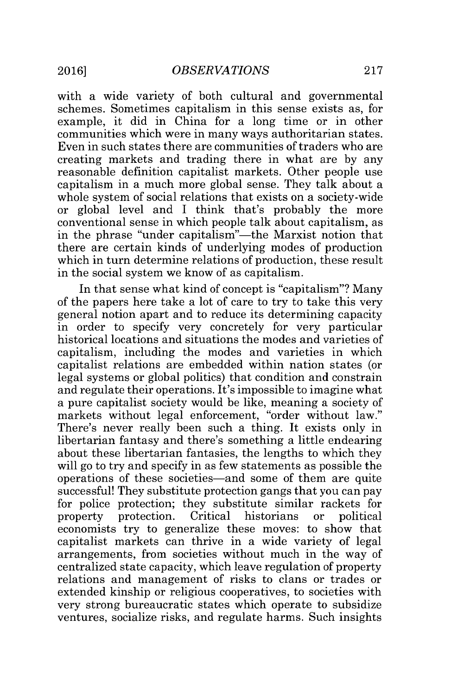with a wide variety of both cultural and governmental schemes. Sometimes capitalism in this sense exists as, for example, it **did** in China for a long time or in other communities which were in many ways authoritarian states. Even in such states there are communities of traders who are creating markets and trading there in what are **by** any reasonable definition capitalist markets. Other people use capitalism in a much more global sense. They talk about a whole system of social relations that exists on a society-wide or global level and **I** think that's probably the more conventional sense in which people talk about capitalism, as in the phrase "under capitalism"—the Marxist notion that there are certain kinds of underlying modes of production which in turn determine relations of production, these result in the social system we know of as capitalism.

In that sense what kind of concept is "capitalism"? Many of the papers here take a lot of care to try to take this very general notion apart and to reduce its determining capacity in order to specify very concretely for very particular historical locations and situations the modes and varieties of capitalism, including the modes and varieties in which capitalist relations are embedded within nation states (or legal systems or global politics) that condition and constrain and regulate their operations. It's impossible to imagine what a pure capitalist society would be like, meaning a society of markets without legal enforcement, "order without law." There's never really been such a thing. It exists only in libertarian fantasy and there's something a little endearing about these libertarian fantasies, the lengths to which they will go to try and specify in as few statements as possible the operations of these societies-and some of them are quite successful! They substitute protection gangs that you can pay for police protection; they substitute similar rackets for property protection. Critical historians or political property protection. Critical historians or political economists try to generalize these moves: to show that capitalist markets can thrive in a wide variety of legal arrangements, from societies without much in the way of centralized state capacity, which leave regulation of property relations and management of risks to clans or trades or extended kinship or religious cooperatives, to societies with very strong bureaucratic states which operate to subsidize ventures, socialize risks, and regulate harms. Such insights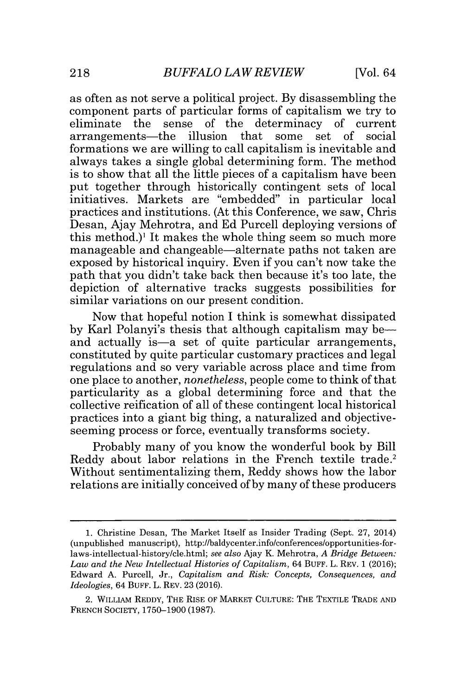as often as not serve a political project. **By** disassembling the component parts of particular forms of capitalism we try to sense of the determinacy of current<br>the illusion that some set of social arrangements-the formations we are willing to call capitalism is inevitable and always takes a single global determining form. The method is to show that all the little pieces of a capitalism have been put together through historically contingent sets of local initiatives. Markets are "embedded" in particular local practices and institutions. (At this Conference, we saw, Chris Desan, **Ajay** Mehrotra, and **Ed** Purcell deploying versions of this method.)' It makes the whole thing seem so much more manageable and changeable-alternate paths not taken are exposed **by** historical inquiry. Even if you can't now take the path that you didn't take back then because it's too late, the depiction of alternative tracks suggests possibilities for similar variations on our present condition.

Now that hopeful notion **I** think is somewhat dissipated **by** Karl Polanyi's thesis that although capitalism may beand actually is a set of quite particular arrangements, constituted **by** quite particular customary practices and legal regulations and so very variable across place and time from one place to another, *nonetheless,* people come to think of that particularity as a global determining force and that the collective reification of all of these contingent local historical practices into a giant big thing, a naturalized and objectiveseeming process or force, eventually transforms society.

Probably many of you know the wonderful book **by** Bill Reddy about labor relations in the French textile trade.<sup>2</sup> Without sentimentalizing them, Reddy shows how the labor relations are initially conceived of **by** many of these producers

**<sup>1.</sup>** Christine Desan, The Market Itself as Insider Trading (Sept. **27,** 2014) (unpublished manuscript), http://baldycenter.info/conferences/opportunities-forlaws-intellectual-history/cle.html; *see also* **Ajay** K. Mehrotra, *A Bridge Between: Law and the New Intellectual Histories of Capitalism,* 64 **BUFF.** L. REV. **1 (2016);** Edward **A.** Purcell, Jr., *Capitalism and Risk: Concepts, Consequences, and Ideologies,* 64 **BUFF.** L. REV. **23 (2016).**

<sup>2.</sup> WILLIAM REDDY, THE RISE OF MARKET **CULTURE:** THE TEXTILE TRADE **AND** FRENCH **SOCIETY, 1750-1900 (1987).**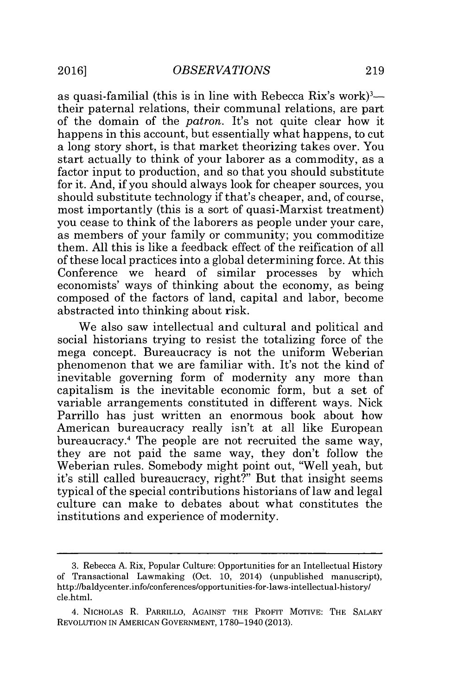as quasi-familial (this is in line with Rebecca Rix's work)<sup>3</sup> their paternal relations, their communal relations, are part of the domain of the *patron.* It's not quite clear how it happens in this account, but essentially what happens, to cut a long story short, is that market theorizing takes over. You start actually to think of your laborer as a commodity, as a factor input to production, and so that you should substitute for it. And, if you should always look for cheaper sources, you should substitute technology if that's cheaper, and, of course, most importantly (this is a sort of quasi-Marxist treatment) you cease to think of the laborers as people under your care, as members of your family or community; you commoditize them. **All** this is like a feedback effect of the reification of all of these local practices into a global determining force. At this Conference we heard of similar processes **by** which economists' ways of thinking about the economy, as being composed of the factors of land, capital and labor, become abstracted into thinking about risk.

We also saw intellectual and cultural and political and social historians trying to resist the totalizing force of the mega concept. Bureaucracy is not the uniform Weberian phenomenon that we are familiar with. It's not the kind of inevitable governing form of modernity any more than capitalism is the inevitable economic form, but a set of variable arrangements constituted in different ways. Nick Parrillo has just written an enormous book about how American bureaucracy really isn't at all like European bureaucracy.4 The people are not recruited the same way, they are not paid the same way, they don't follow the Weberian rules. Somebody might point out, "Well yeah, but it's still called bureaucracy, right?" But that insight seems typical of the special contributions historians of law and legal culture can make to debates about what constitutes the institutions and experience of modernity.

**<sup>3.</sup>** Rebecca **A.** Rix, Popular Culture: Opportunities for an Intellectual History of Transactional Lawmaking (Oct. **10,** 2014) (unpublished manuscript), http://baldycenter.info/conferences/opportunities-for-laws-intellectual-history/ cle.html.

<sup>4.</sup> NICHOLAS R. PARRILLO, AGAINST THE PROFIT MOTIVE: THE SALARY **REVOLUTION** IN AMERICAN GOVERNMENT, **1780-1940 (2013).**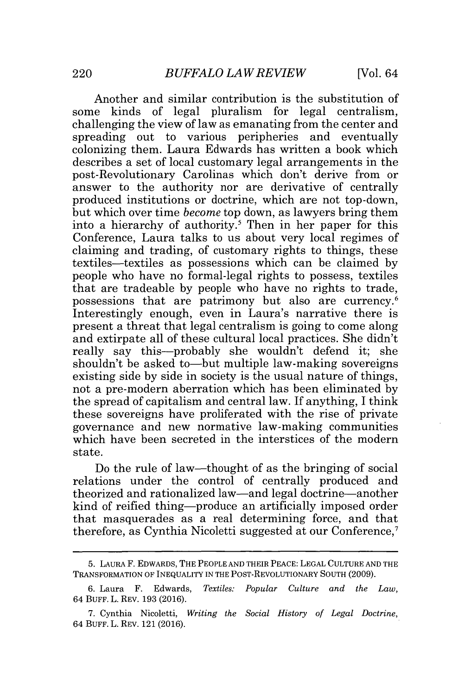Another and similar contribution is the substitution of some kinds of legal pluralism for legal centralism, challenging the view of law as emanating from the center and spreading out to various peripheries and eventually colonizing them. Laura Edwards has written a book which describes a set of local customary legal arrangements in the post-Revolutionary Carolinas which don't derive from or answer to the authority nor are derivative of centrally produced institutions or doctrine, which are not top-down, but which over time *become* top down, as lawyers bring them into a hierarchy of authority.<sup>5</sup> Then in her paper for this Conference, Laura talks to us about very local regimes of claiming and trading, of customary rights to things, these textiles-textiles as possessions which can be claimed **by** people who have no formal-legal rights to possess, textiles that are tradeable **by** people who have no rights to trade, possessions that are patrimony but also are currency.<sup>6</sup> Interestingly enough, even in Laura's narrative there is present a threat that legal centralism is going to come along and extirpate all of these cultural local practices. She didn't really say this-probably she wouldn't defend it; she shouldn't be asked to—but multiple law-making sovereigns existing side **by** side in society is the usual nature of things, not a pre-modern aberration which has been eliminated **by** the spread of capitalism and central law. If anything, **I** think these sovereigns have proliferated with the rise of private governance and new normative law-making communities which have been secreted in the interstices of the modern state.

Do the rule of law-thought of as the bringing of social relations under the control of centrally produced and theorized and rationalized law-and legal doctrine-another kind of reified thing-produce an artificially imposed order that masquerades as a real determining force, and that therefore, as Cynthia Nicoletti suggested at our Conference,

**<sup>5.</sup>** LAURA F. EDWARDS, THE PEOPLE **AND** THEIR **PEACE: LEGAL CULTURE AND** THE TRANSFORMATION OF **INEQUALITY IN** THE POST-REVOLUTIONARY **SOUTH (2009).**

**<sup>6.</sup>** Laura F. Edwards, *Textiles: Popular Culture and the Law,* 64 **BUFF.** L. REV. **193 (2016).**

**<sup>7.</sup>** Cynthia Nicoletti, *Writing the Social History of Legal Doctrine,* 64 **BUFF.** L. REV. 121 **(2016).**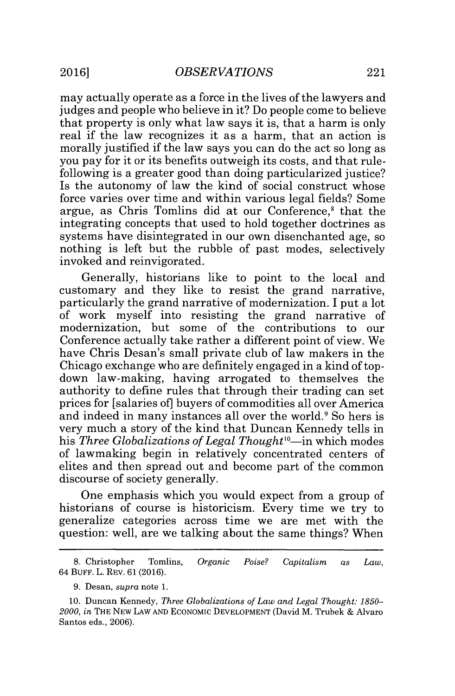may actually operate as a force in the lives of the lawyers and judges and people who believe in it? Do people come to believe that property is only what law says it is, that a harm is only real **if** the law recognizes it as a harm, that an action **is** morally justified if the law says you can do the act so long as you pay for it or its benefits outweigh its costs, and that rulefollowing is a greater good than doing particularized justice? Is the autonomy of law the kind of social construct whose force varies over time and within various legal fields? Some argue, as Chris Tomlins did at our Conference,' that the integrating concepts that used to hold together doctrines as systems have disintegrated in our own disenchanted age, so nothing is left but the rubble of past modes, selectively invoked and reinvigorated.

Generally, historians like to point to the local and customary and they like to resist the grand narrative, particularly the grand narrative of modernization. **I** put a lot of work myself into resisting the grand narrative of modernization, but some of the contributions to our Conference actually take rather a different point of view. We have Chris Desan's small private club of law makers in the Chicago exchange who are definitely engaged in a kind of topdown law-making, having arrogated to themselves the authority to define rules that through their trading can set prices for [salaries of] buyers of commodities all over America and indeed in many instances all over the world.<sup>9</sup> So hers is very much a story of the kind that Duncan Kennedy tells in his *Three Globalizations of Legal Thought <sup>1</sup> -in* which modes of lawmaking begin in relatively concentrated centers of elites and then spread out and become part of the common discourse of society generally.

One emphasis which you would expect from a group of historians of course is historicism. Every time we try to generalize categories across time we are met with the question: well, are we talking about the same things? When

**<sup>8.</sup>** Christopher Tomlins, *Organic Poise? Capitalism as Law,* 64 **BUFF.** L. REv. **61 (2016).**

**<sup>9.</sup>** Desan, *supra* note **1.**

**<sup>10.</sup>** Duncan Kennedy, *Three Globalizations of Law and Legal Thought: 1850- 2000, in* THE NEW LAW **AND** ECONOMIC **DEVELOPMENT** (David M. Trubek **&** Alvaro Santos eds., **2006).**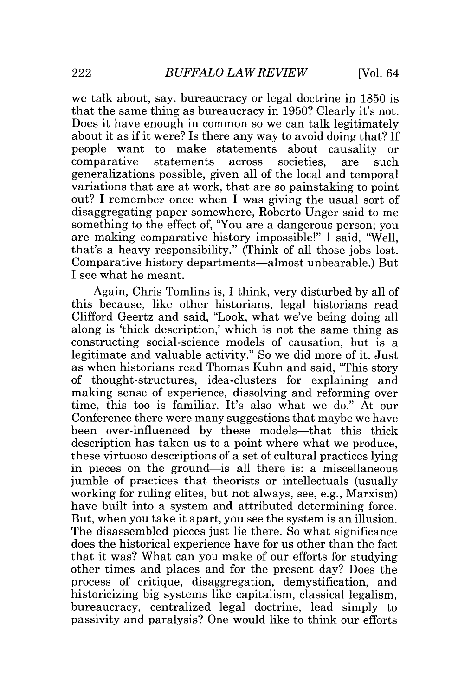we talk about, say, bureaucracy or legal doctrine in **1850** is that the same thing as bureaucracy in **1950?** Clearly it's not. Does it have enough in common so we can talk legitimately about it as if it were? Is there any way to avoid doing that? **If** people want to make statements about causality or comparative statements across societies, are such generalizations possible, given all of the local and temporal variations that are at work, that are so painstaking to point out? **I** remember once when **I** was giving the usual sort of disaggregating paper somewhere, Roberto Unger said to me something to the effect of, "You are a dangerous person; you are making comparative history impossible!" **I** said, "Well, that's a heavy responsibility." (Think of all those jobs lost. Comparative history departments—almost unbearable.) But **I** see what he meant.

Again, Chris Tomlins is, **I** think, very disturbed **by** all of this because, like other historians, legal historians read Clifford Geertz and said, "Look, what we've being doing all along is 'thick description,' which is not the same thing as constructing social-science models of causation, but is a legitimate and valuable activity." So we did more of it. Just as when historians read Thomas Kuhn and said, "This story of thought-structures, idea-clusters for explaining and making sense of experience, dissolving and reforming over time, this too is familiar. It's also what we do." At our Conference there were many suggestions that maybe we have been over-influenced by these models—that this thick description has taken us to a point where what we produce, these virtuoso descriptions of a set of cultural practices lying in pieces on the ground-is all there is: a miscellaneous jumble of practices that theorists or intellectuals (usually working for ruling elites, but not always, see, e.g., Marxism) have built into a system and attributed determining force. But, when you take it apart, you see the system is an illusion. The disassembled pieces just lie there. So what significance does the historical experience have for us other than the fact that it was? What can you make of our efforts for studying other times and places and for the present day? Does the process of critique, disaggregation, demystification, and historicizing big systems like capitalism, classical legalism, bureaucracy, centralized legal doctrine, lead simply to passivity and paralysis? One would like to think our efforts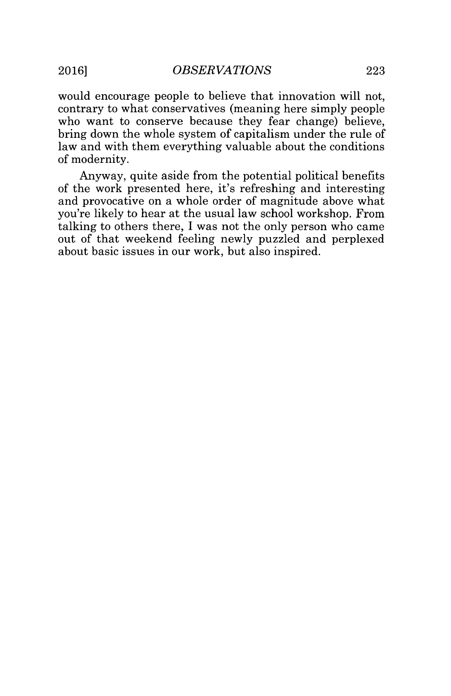would encourage people to believe that innovation will not, contrary to what conservatives (meaning here simply people who want to conserve because they fear change) believe, bring down the whole system of capitalism under the rule of law and with them everything valuable about the conditions of modernity.

Anyway, quite aside from the potential political benefits of the work presented here, it's refreshing and interesting and provocative on a whole order of magnitude above what you're likely to hear at the usual law school workshop. From talking to others there, **I** was not the only person who came out of that weekend feeling newly puzzled and perplexed about basic issues in our work, but also inspired.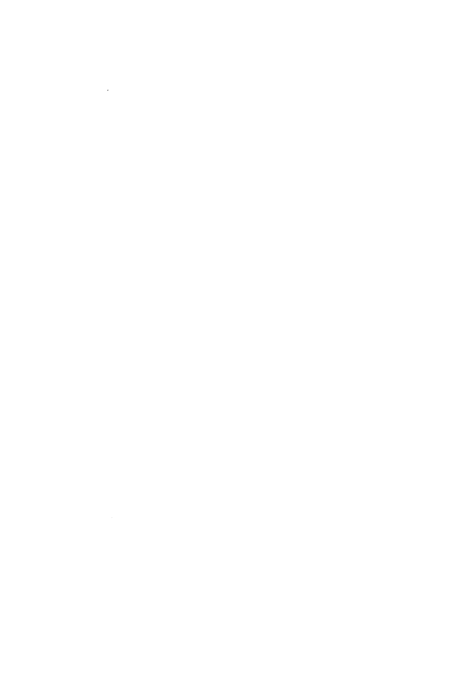$\mathcal{L}^{\text{max}}_{\text{max}}$  and  $\mathcal{L}^{\text{max}}_{\text{max}}$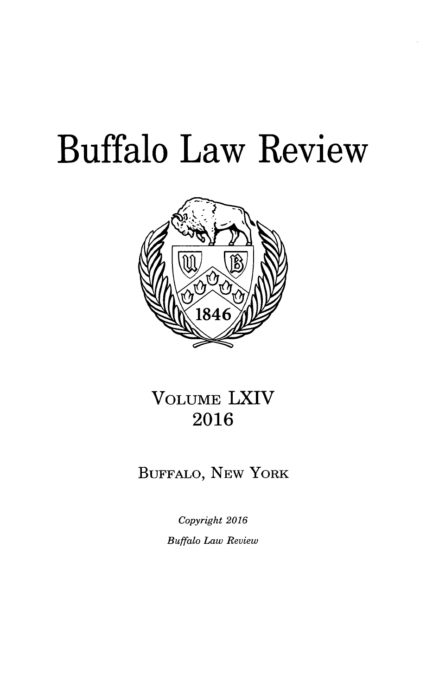# Buffalo Law Review



## **VOLUME LXIV 2016**

**BUFFALO, NEW** YORK

*Copyright 2016 Buffalo Law Review*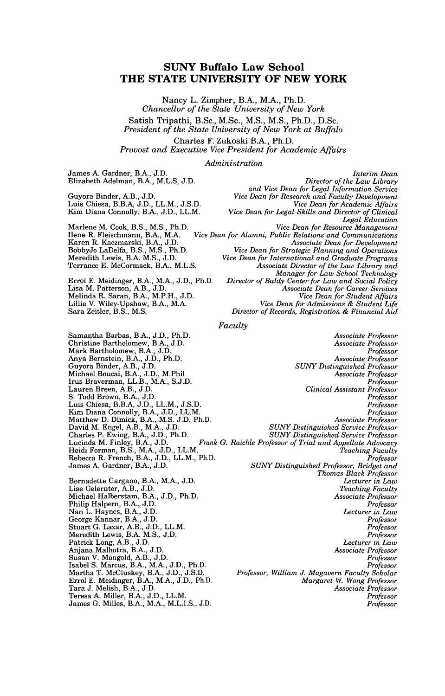#### **SUNY Buffalo Law School THE STATE UNIVERSITY OF NEW YORK**

Nancy L. Zimpher, B.A., M.A., Ph.D. *Chancellor of the State University of New York* Satish Tripathi, B.Sc., M.Sc., **M.S., M.S.,** Ph.D., D.Sc.

*President of the State University of New York at Buffalo*

Charles F. Zukoski B.A., Ph.D. *Provost and Executive Vice President for Academic Affairs*

#### *Administration*

Elizabeth Adelman, B.A., M.L.S, J.D.

James **A.** Gardner, B.A., **J.D.** *Interim Dean and Vice Dean for Legal Information Service* Guyora Binder, A.B., J.D.<br>
Luis Chiesa, B.B.A, J.D., LL.M., J.S.D.<br>
<sup>*Vice Dean for Research and Faculty Development*<br> *Vice Dean for Legal Skills and Director of Clinical*<br> *Vice Dean for Legal Skills and Director of Clin</sup>* Luis Chiesa, B.B.A, **J.D.,** LL.M., **J.S.D.** *Vice Dean for Academic Affairs* Kim Diana Connolly, B.A., **J.D.,** LL.M. *Vice Dean for Legal Skills and Director of Clinical Legal Education* Marlene M. Cook, B.S., **M.S.,** Ph.D. *Vice Dean for Resource Management* Vice Dean for Alumni, Public Relations and Communications<br>Associate Dean for Development Karen R. Kaczmarski, B.A., J.D. **BobbyJo LaDelfa, B.S., M.S., Ph.D.** BobbyJo LaDelfa, B.S., **M.S.,** Ph.D. *Vice Dean for Strategic Planning and Operations* Meredith Lewis, B.A. **M.S., J.D.** *Vice Dean for International and Graduate Programs* Terrance **E.** McCormack, B.A., **M.L.S.** *Associate Director of the Law Library and Manager for Law School Technology* Errol **E.** Meidinger, B.A., M.A., **J.D.,** Ph.D. *Director of Baldy Center for Law and Social Policy* Lisa M. Patterson, A.B., **J.D.** *Associate Dean for Career Services* Melinda R. Saran, B.A., M.P.H., **J.D.** *Vice Dean for Student Affairs* Lillie V. Wiley-Upshaw, B.A., M.A. *Vice Dean for Admissions & Student Life* Sara Zeitler, B.S., **M.S.** *Director of Records, Registration & Financial Aid*

*Faculty*

Samantha Barbas, B.A., **J.D.,** Ph.D. *Associate Professor* Christine Bartholomew, B.A., **J.D.** *Associate Professor* Anya Bernstein, B.A., J.D., Ph.D. Guyora Binder, A.B., J.D. David M. Engel, A.B., M.A., J.D.<br>Charles P. Ewing, B.A., J.D., Ph.D.

- 
- 

Mark Bartholomew, B.A., **J.D.** *Professor* Guyora Binder, A.B., **J.D.** *SUNY Distinguished Professor* Michael Boucai, B.A., **J.D.,** M.Phil *Associate Professor* Irus Braverman, LL.B., M.A., **S.J.D.** *Professor* Lauren Breen, A.B., **J.D.** *Clinical Assistant Professor* **S.** Todd Brown, B.A., **J.D.** *Professor* Luis Chiesa, B.B.A, **J.D.,** LL.M., **J.S.D.** *Professor* Kim Diana Connolly, B.A., **J.D.,** LL.M. *Professor* Matthew **D.** Dimick, B.A., **M.S. J.D.** Ph.D. *Associate Professor* Charles P. Ewing, B.A., **J.D.,** Ph.D. *SUI'Y Distinguished Service Professor* Lucinda M. Finley, B.A., **J.D.** *Frank G. Raichle Professor of Trial and Appellate Advocacy* Heidi Forman, B.S., M.A., **J.D.,** LL.M. *Teaching Faculty* Rebecca R. French, B.A., **J.D.,** LL.M., Ph.D. *Professor* James **A.** Gardner, B.A., **J.D.** *SUNY Distinguished Professor, Bridget and Thomas Black Professor* Bernadette Gargano, B.A., M.A., **J.D.** *Lecturer in Law* Lise Gelernter, A.B., **J.D.** *Teaching Faculty* Michael Halberstam, B.A., **J.D.,** Ph.D. *Associate Professor* Philip Halpern, B.A., **J.D.** *Professor* Nan L. Haynes, B.A., **J.D.** *Lecturer in Law* George Kannar, B.A., **J.D.** *Professor* Stuart **G.** Lazar, A.B., **J.D.,** LL.M. *Professor* Meredith Lewis, B.A. **M.S., J.D.** *Professor* Patrick Long, A.B., **J.D.** *Lecturer in Law* Anjana Malhotra, B.A., **J.D.** *Associate Professor* Susan V. Mangold, A.B., **J.D.** *Professor* Isabel **S.** Marcus, B.A., M.A., **J.D.,** Ph.D. *Professor* Martha T. McCluskey, B.A., **J.D., J.S.D.** *Professor, William J. Magavern Faculty Scholar* Errol **E.** Meidinger, B.A., M.A., **J.D.,** Ph.D. *Margaret W. Wang Professor* Errol E. Meidinger, B.A., M.A., J.D., Ph.D.<br>
Tara J. Melish, B.A., J.D., LL.M.<br> *Associate Professor*<br> *Associate Professor*<br> *Professor*<br> *Professor* Teresa **A.** Miller, B.A., **J.D.,** LL.M. *Professor* James **G.** Milles, B.A., M.A., M.L.I.S., **J.D.** *Professor*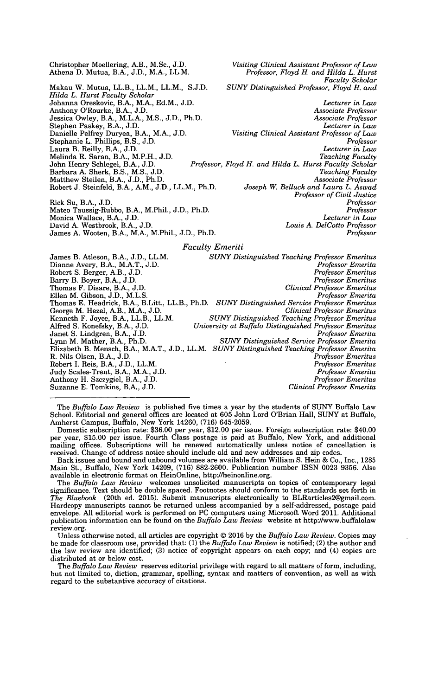Christopher Moellering, A.B., **M.Sc., J.D.** Athena **D.** Mutua, B.A., **J.D.,** M.A., LL.M. Makau W. Mutua, LL.B., LL.M., LL.M., **S.J.D.** *Hilda L. Hurst Faculty Scholar* Johanna Oreskovic, B.A., M.A., **Ed.M., J.D.** Anthony O'Rourke, B.A., **J.D.** Jessica Owley, B.A., M.L.A., **M.S., J.D.,** Ph.D. Stephen Paskey, B.A., **J.D.** Danielle Pelfrey Duryea, B.A., M.A., **J.D.** Stephanie L. Phillips, B.S., **J.D.** Laura B. Reilly, B.A., **J.D.** Melinda R. Saran, B.A., M.P.H., **J.D.** John Henry Schlegel, B.A., **J.D.** *Professo* Barbara **A.** Sherk, B.S., **M.S., J.D.** Matthew Steilen, B.A., **J.D.,** Ph.D. Robert **J.** Steinfeld, B.A., A.M., **J.D.,** LL.M., Ph.D. Rick Su, B.A., **J.D.** Mateo Taussig-Rubbo, B.A., M.Phil., **J.D.,** Ph.D. Monica Wallace, B.A., **J.D.** David **A.** Westbrook, B.A., **J.D.** James **A.** Wooten, B.A., M.A., M.Phil., **J.D.,** Ph.D. *Visiting Clinical Assistant Professor of Law Professor, Floyd H. and Hilda L. Hurst Faculty Scholar SUNY Distinguished Professor, Floyd H. and Lecturer in Law Associate Professor Associate Professor Lecturer in Law Visiting Clinical Assistant Professor of Law Professor Lecturer in Law Teaching Faculty* Professor, Floyd H. and Hilda L. Hurst Faculty Scholar *Teaching Faculty Associate Professor Joseph W. Belluck and Laura L. Aswad Professor of Civil Justice Professor Professor Lecturer in Law Louis A. DelCotto Professor Professor Faculty Emeriti* James B. Atleson, B.A., **J.D.,** LL.M. *SUNY Distinguished Teaching Professor Emeritus* Dianne Avery, B.A., M.A.T., **J.D.** *Professor Emerita* Robert *S.* Berger, A.B., **J.D.** *Professor Emeritus* Barry B. Boyer, B.A., **J.D.** *Professor Emeritus* Thomas F. Disare, B.A., **J.D.** *Clinical Professor Emeritus* Ellen M. Gibson, **J.D., M.L.S.** *Professor Emerita* Thomas **E.** Headrick, B.A., B.Litt., LL.B., Ph.D. *SUNY Distinguished Service Professor Emeritus* George M. Hezel, A.B., M.A., **J.D.** *Clinical Professor Emeritus* Kenneth F. Joyce, B.A., LL.B., LL.M. *SUNY Distinguished Teaching Professor Emeritus* Alfred **S.** Konefsky, B.A., **J.D.** *University at Buffalo Distinguished Professor Emeritus* Janet **S.** Lindgren, B.A., **J.D.** *Professor Emerita*

Lynn M. Mather, B.A., Ph.D. *SUNY Distinguished Service Professor Emerita* Elizabeth B. Mensch, B.A., M.A.T., **J.D.,** LL.M. *SUNY Distinguished Teaching Professor Emerita* R. Nils Olsen, B.A., **J.D.** *Professor Emeritus* Robert I. Reis, B.A., **J.D.,** LL.M. *Professor Emeritus* Judy Scales-Trent, B.A., M.A., **J.D.** *Professor Emerita* Anthony H. Szczygiel, B.A., **J.D.** *Professor Emeritus* Suzanne **E.** Tomkins, B.A., **J.D.** *Clinical Professor Emerita*

The *Buffalo Law Review* is published five times a year **by** the students of **SIJNY** Buffalo Law School. Editorial and general offices are located at **605** John Lord O'Brian Hall, **SUNY** at Buffalo, Amherst Campus, Buffalo, New York 14260, **(716) 645-2059.**

Domestic subscription rate: \$36.00 per year, \$12.00 per issue. Foreign subscription rate: \$40.00<br>per year, \$15.00 per issue. Fourth Class postage is paid at Buffalo, New York, and additional<br>mailing offices. Subscriptions received. Change of address notice should include old and new addresses and zip codes.

Back issues and bound and unbound volumes are available from William **S.** Hein **&** Co., Inc., **1285** Main St., Buffalo, New York 14209, **(716) 882-2600.** Publication number **ISSN 0023 9356.** Also available in electronic format on HeinOnline, http://heinonline.org.

The *Buffalo Law Review* welcomes unsolicited manuscripts on topics of contemporary legal significance. Text should be double spaced. Footnotes should conform to the standards set forth in *The Bluebook* (20th ed. **2015).** Submit manuscripts electronically to BLRarticles2@gmail.com. Hardcopy manuscripts cannot be returned unless accompanied **by** a self-addressed, postage paid envelope. **All** editorial work is performed on **PC** computers using Microsoft Word 2011. Additional publication information can be found on the *Buffalo Law Review* website at http://www.buffalolaw review.org.

Unless otherwise noted, all articles are copyright **@ 2016 by** the *Buffalo Law Review.* Copies may be made for classroom use, provided that: **(1)** the *Buffalo Law Review* is notified; (2) the author and the law review are identified; **(3)** notice of copyright appears on each copy; and (4) copies are distributed at or below cost.

The *Buffalo Law Review* reserves editorial privilege with regard to all matters of form, including, but not limited to, diction, grammar, spelling, syntax and matters of convention, as well as with regard to the substantive accuracy of citations.